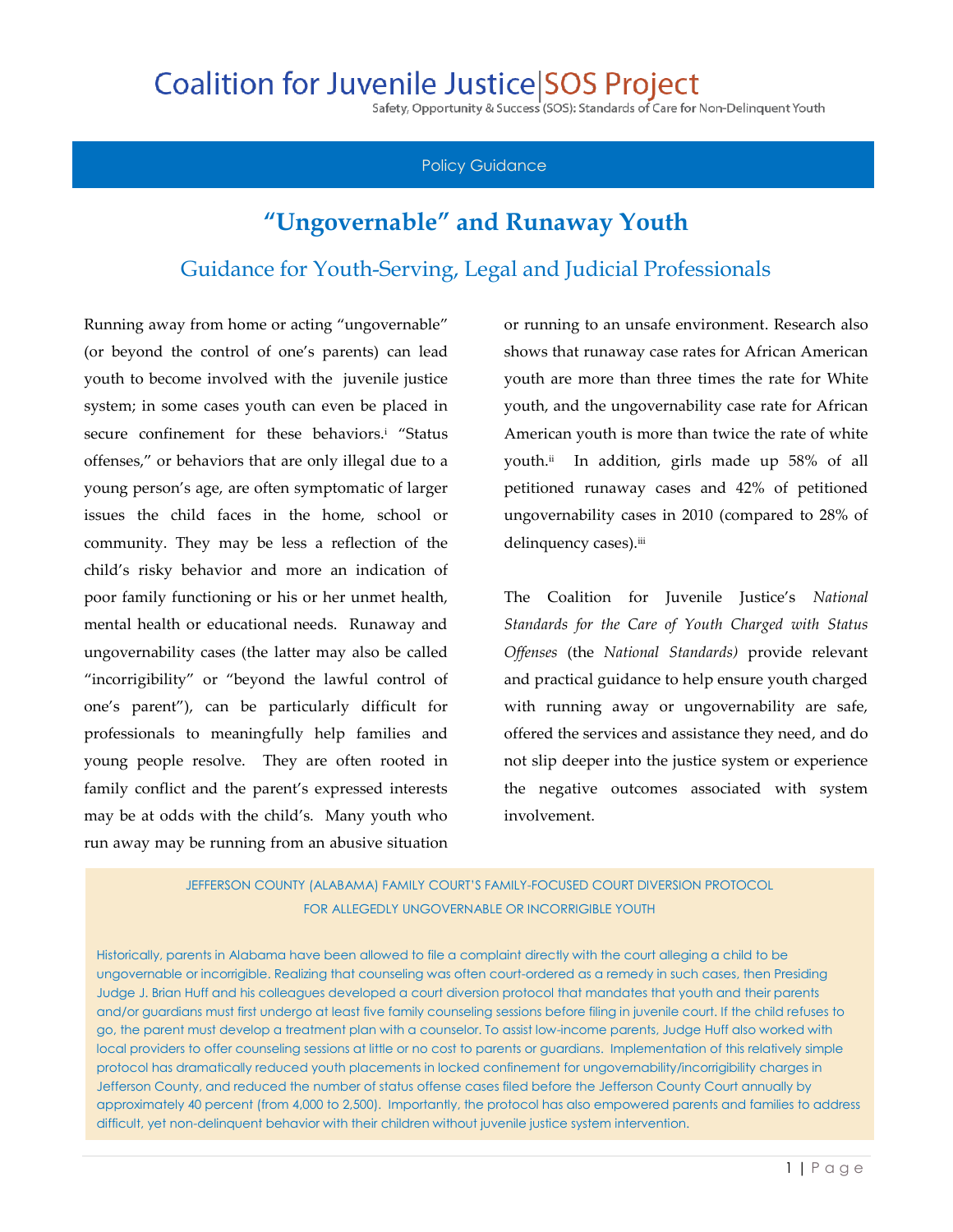## **Coalition for Juvenile Justice SOS Project**

Safety, Opportunity & Success (SOS): Standards of Care for Non-Delinquent Youth

## Policy Guidance

## **"Ungovernable" and Runaway Youth** Guidance for Youth-Serving, Legal and Judicial Professionals

Running away from home or acting "ungovernable" (or beyond the control of one's parents) can lead youth to become involved with the juvenile justice system; in some cases youth can even be placed in secure confinement for these behaviors.<sup>i</sup> "Status offenses," or behaviors that are only illegal due to a young person's age, are often symptomatic of larger issues the child faces in the home, school or community. They may be less a reflection of the child's risky behavior and more an indication of poor family functioning or his or her unmet health, mental health or educational needs. Runaway and ungovernability cases (the latter may also be called "incorrigibility" or "beyond the lawful control of one's parent"), can be particularly difficult for professionals to meaningfully help families and young people resolve. They are often rooted in family conflict and the parent's expressed interests may be at odds with the child's. Many youth who run away may be running from an abusive situation

or running to an unsafe environment. Research also shows that runaway case rates for African American youth are more than three times the rate for White youth, and the ungovernability case rate for African American youth is more than twice the rate of white youth.<sup>ii</sup> In addition, girls made up 58% of all petitioned runaway cases and 42% of petitioned ungovernability cases in 2010 (compared to 28% of delinquency cases).iii

The Coalition for Juvenile Justice's *National Standards for the Care of Youth Charged with Status Offenses* (the *National Standards)* provide relevant and practical guidance to help ensure youth charged with running away or ungovernability are safe, offered the services and assistance they need, and do not slip deeper into the justice system or experience the negative outcomes associated with system involvement.

JEFFERSON COUNTY (ALABAMA) FAMILY COURT'S FAMILY-FOCUSED COURT DIVERSION PROTOCOL FOR ALLEGEDLY UNGOVERNABLE OR INCORRIGIBLE YOUTH

Historically, parents in Alabama have been allowed to file a complaint directly with the court alleging a child to be ungovernable or incorrigible. Realizing that counseling was often court-ordered as a remedy in such cases, then Presiding Judge J. Brian Huff and his colleagues developed a court diversion protocol that mandates that youth and their parents and/or guardians must first undergo at least five family counseling sessions before filing in juvenile court. If the child refuses to go, the parent must develop a treatment plan with a counselor. To assist low-income parents, Judge Huff also worked with local providers to offer counseling sessions at little or no cost to parents or guardians. Implementation of this relatively simple protocol has dramatically reduced youth placements in locked confinement for ungovernability/incorrigibility charges in Jefferson County, and reduced the number of status offense cases filed before the Jefferson County Court annually by approximately 40 percent (from 4,000 to 2,500). Importantly, the protocol has also empowered parents and families to address difficult, yet non-delinquent behavior with their children without juvenile justice system intervention.